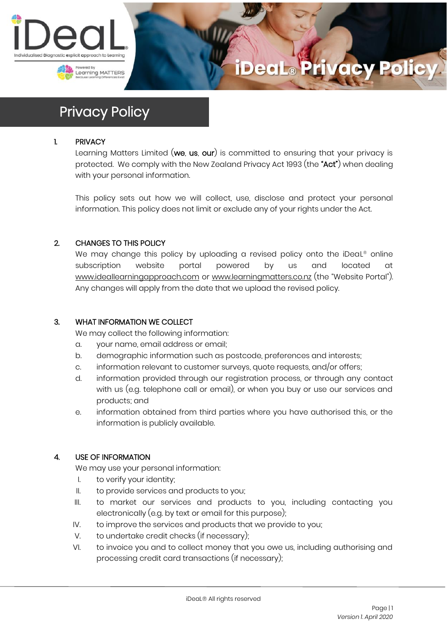



# eaL® Privacy Policy.

## Privacy Policy

#### 1. PRIVACY

Learning Matters Limited (we, us, our) is committed to ensuring that your privacy is protected. We comply with the New Zealand Privacy Act 1993 (the "Act") when dealing with your personal information.

This policy sets out how we will collect, use, disclose and protect your personal information. This policy does not limit or exclude any of your rights under the Act.

#### 2. CHANGES TO THIS POLICY

We may change this policy by uploading a revised policy onto the iDeaL ® online subscription website portal powered by us and located at www.ideallearningapproach.com or www.learningmatters.co.nz (the "Website Portal"). Any changes will apply from the date that we upload the revised policy.

#### 3. WHAT INFORMATION WE COLLECT

We may collect the following information:

- a. your name, email address or email;
- b. demographic information such as postcode, preferences and interests;
- c. information relevant to customer surveys, quote requests, and/or offers;
- d. information provided through our registration process, or through any contact with us (e.g. telephone call or email), or when you buy or use our services and products; and
- e. information obtained from third parties where you have authorised this, or the information is publicly available.

#### 4. USE OF INFORMATION

We may use your personal information:

- I. to verify your identity;
- II. to provide services and products to you;
- III. to market our services and products to you, including contacting you electronically (e.g. by text or email for this purpose);
- IV. to improve the services and products that we provide to you;
- V. to undertake credit checks (if necessary);
- VI. to invoice you and to collect money that you owe us, including authorising and processing credit card transactions (if necessary);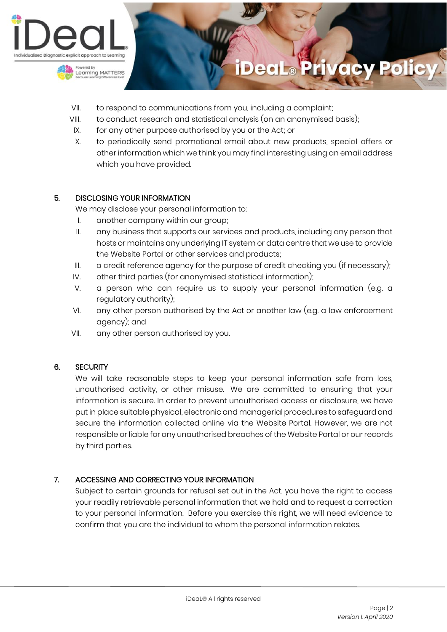



#### **Policy** eaL® Pri vacy

- VII. to respond to communications from you, including a complaint;
- VIII. to conduct research and statistical analysis (on an anonymised basis);
- IX. for any other purpose authorised by you or the Act; or
- X. to periodically send promotional email about new products, special offers or other information which we think you may find interesting using an email address which you have provided.

#### 5. DISCLOSING YOUR INFORMATION

We may disclose your personal information to:

- I. another company within our group;
- II. any business that supports our services and products, including any person that hosts or maintains any underlying IT system or data centre that we use to provide the Website Portal or other services and products;
- III. a credit reference agency for the purpose of credit checking you (if necessary);
- IV. other third parties (for anonymised statistical information);
- V. a person who can require us to supply your personal information (e.g. a regulatory authority);
- VI. any other person authorised by the Act or another law (e.g. a law enforcement agency); and
- VII. any other person authorised by you.

## 6. SECURITY

We will take reasonable steps to keep your personal information safe from loss, unauthorised activity, or other misuse. We are committed to ensuring that your information is secure. In order to prevent unauthorised access or disclosure, we have put in place suitable physical, electronic and managerial procedures to safeguard and secure the information collected online via the Website Portal. However, we are not responsible or liable for any unauthorised breaches of the Website Portal or our records by third parties.

## 7. ACCESSING AND CORRECTING YOUR INFORMATION

Subject to certain grounds for refusal set out in the Act, you have the right to access your readily retrievable personal information that we hold and to request a correction to your personal information. Before you exercise this right, we will need evidence to confirm that you are the individual to whom the personal information relates.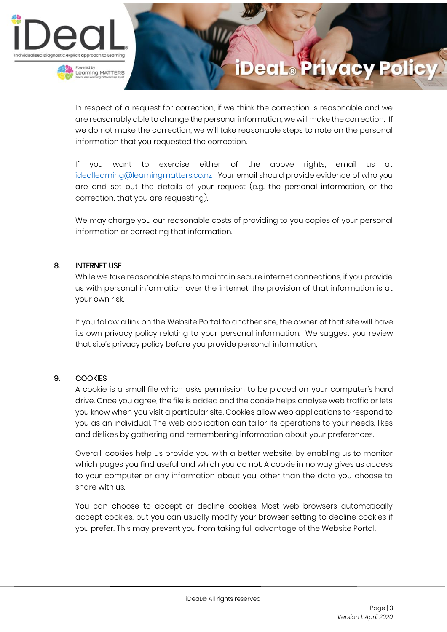



#### **Poli** ed L® Pri acv

In respect of a request for correction, if we think the correction is reasonable and we are reasonably able to change the personal information, we will make the correction. If we do not make the correction, we will take reasonable steps to note on the personal information that you requested the correction.

If you want to exercise either of the above rights, email us at [ideallearning@learningmatters.co.nz](mailto:ideallearning@learningmatters.co.nz) Your email should provide evidence of who you are and set out the details of your request (e.g. the personal information, or the correction, that you are requesting).

We may charge you our reasonable costs of providing to you copies of your personal information or correcting that information.

#### 8. INTERNET USE

While we take reasonable steps to maintain secure internet connections, if you provide us with personal information over the internet, the provision of that information is at your own risk.

If you follow a link on the Website Portal to another site, the owner of that site will have its own privacy policy relating to your personal information. We suggest you review that site's privacy policy before you provide personal information.

## 9. COOKIES

A cookie is a small file which asks permission to be placed on your computer's hard drive. Once you agree, the file is added and the cookie helps analyse web traffic or lets you know when you visit a particular site. Cookies allow web applications to respond to you as an individual. The web application can tailor its operations to your needs, likes and dislikes by gathering and remembering information about your preferences.

Overall, cookies help us provide you with a better website, by enabling us to monitor which pages you find useful and which you do not. A cookie in no way gives us access to your computer or any information about you, other than the data you choose to share with us.

You can choose to accept or decline cookies. Most web browsers automatically accept cookies, but you can usually modify your browser setting to decline cookies if you prefer. This may prevent you from taking full advantage of the Website Portal.